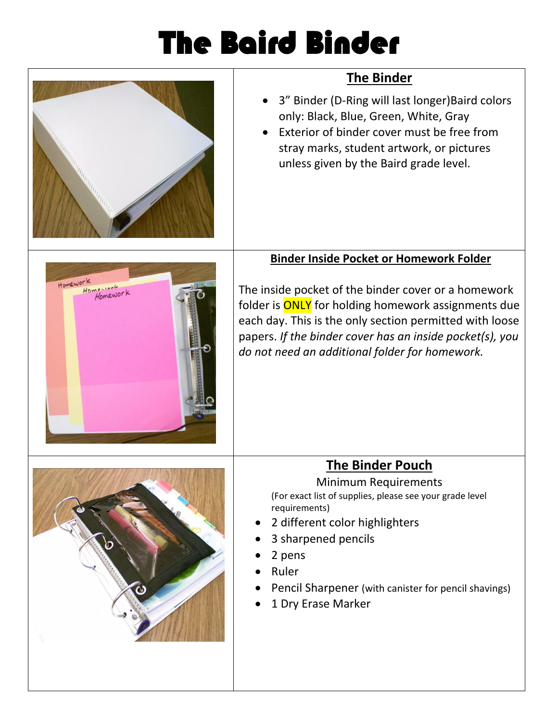## The Baird Binder

| <b>The Binder</b>                                                                                                                                                                                                                                                                          |
|--------------------------------------------------------------------------------------------------------------------------------------------------------------------------------------------------------------------------------------------------------------------------------------------|
| 3" Binder (D-Ring will last longer) Baird colors<br>only: Black, Blue, Green, White, Gray<br>Exterior of binder cover must be free from<br>stray marks, student artwork, or pictures<br>unless given by the Baird grade level.                                                             |
|                                                                                                                                                                                                                                                                                            |
| <b>Binder Inside Pocket or Homework Folder</b>                                                                                                                                                                                                                                             |
| The inside pocket of the binder cover or a homework<br>folder is <b>ONLY</b> for holding homework assignments due<br>each day. This is the only section permitted with loose<br>papers. If the binder cover has an inside pocket(s), you<br>do not need an additional folder for homework. |
| <b>The Binder Pouch</b>                                                                                                                                                                                                                                                                    |
| <b>Minimum Requirements</b><br>(For exact list of supplies, please see your grade level<br>requirements)<br>2 different color highlighters<br>3 sharpened pencils<br>2 pens<br>Ruler<br>Pencil Sharpener (with canister for pencil shavings)<br>1 Dry Erase Marker                         |
|                                                                                                                                                                                                                                                                                            |